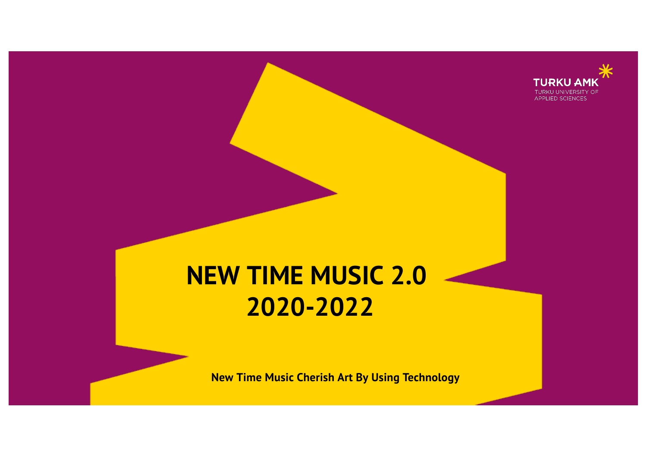

# **NEW TIME MUSIC 2.0 2020-2022**

**New Time Music Cherish Art By Using Technology**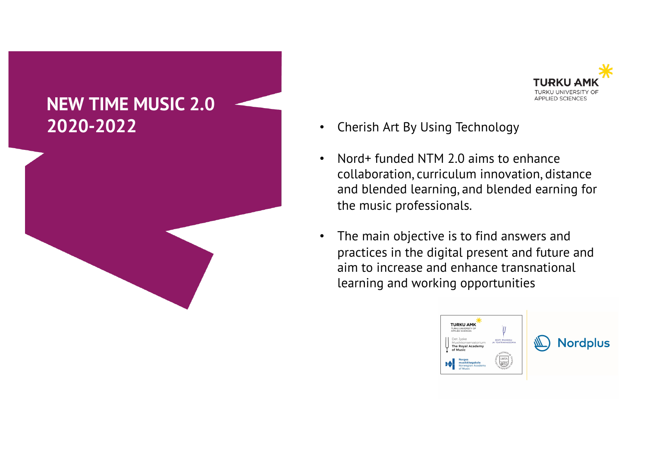



- 
- Nord+ funded NTM 2.0 aims to enhance collaboration, curriculum innovation, distance and blended learning, and blended earning for the music professionals.
- The main objective is to find answers and practices in the digital present and future and aim to increase and enhance transnational learning and working opportunities

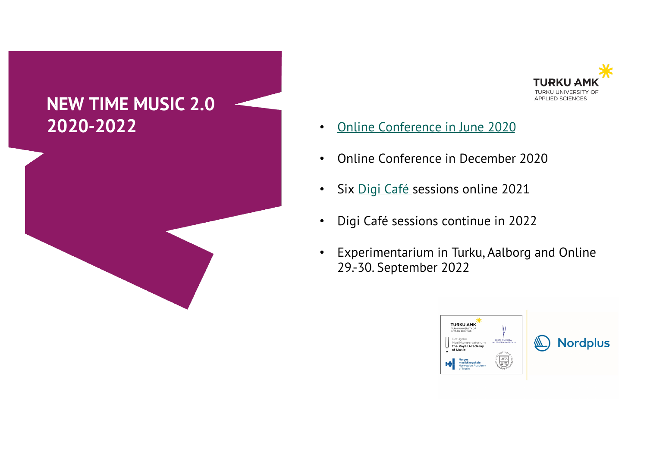





- 
- Online Conference in December 2020
- Six [Digi Café](https://www.facebook.com/groups/newtimemusic) sessions online 2021
- Digi Café sessions continue in 2022
- Experimentarium in Turku, Aalborg and Online 29.-30. September 2022

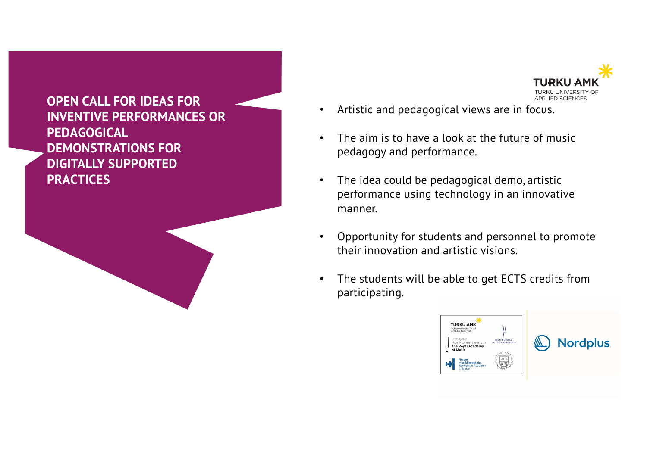**OPEN CALL FOR IDEAS FOR INVENTIVE PERFORMANCES OR PEDAGOGICAL DEMONSTRATIONS FOR DIGITALLY SUPPORTED PRACTICES**



- Artistic and pedagogical views are in focus.
- The aim is to have a look at the future of music pedagogy and performance.
- The idea could be pedagogical demo, artistic performance using technology in an innovative manner.
- Opportunity for students and personnel to promote their innovation and artistic visions.
- The students will be able to get ECTS credits from participating.

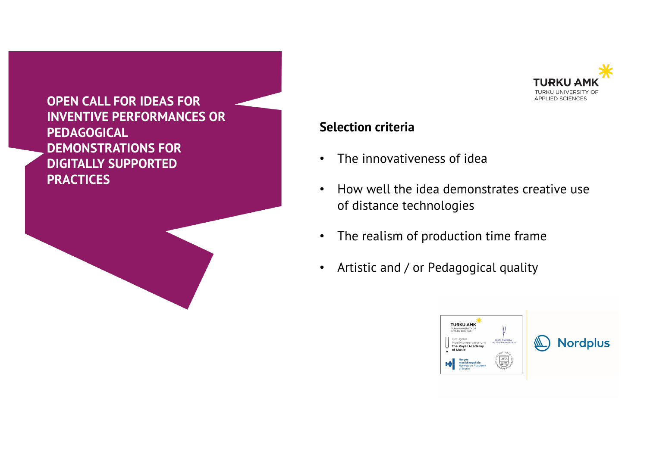



#### **Selection criteria**

- The innovativeness of idea
- How well the idea demonstrates creative use of distance technologies
- The realism of production time frame
- Artistic and / or Pedagogical quality

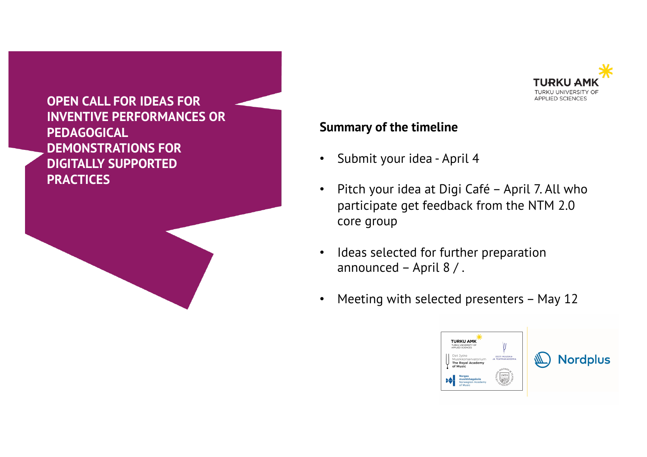



#### **Summary of the timeline**

- Submit your idea April 4
- Pitch your idea at Digi Café April 7. All who participate get feedback from the NTM 2.0 core group
- Ideas selected for further preparation announced – April 8 / .
- Meeting with selected presenters May 12

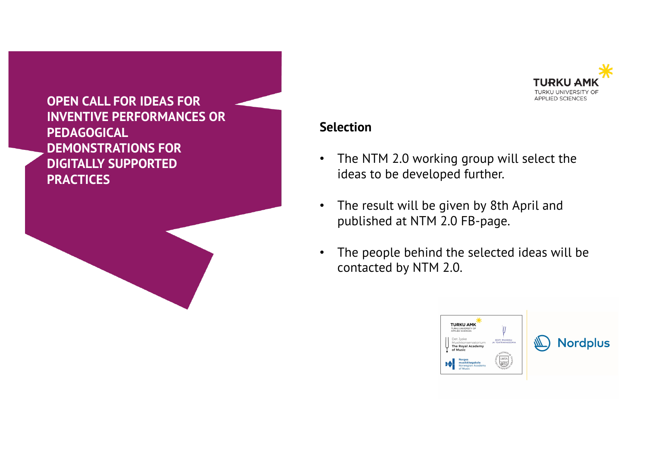



### **Selection**

- The NTM 2.0 working group will select the ideas to be developed further.
- The result will be given by 8th April and published at NTM 2.0 FB-page.
- The people behind the selected ideas will be contacted by NTM 2.0.